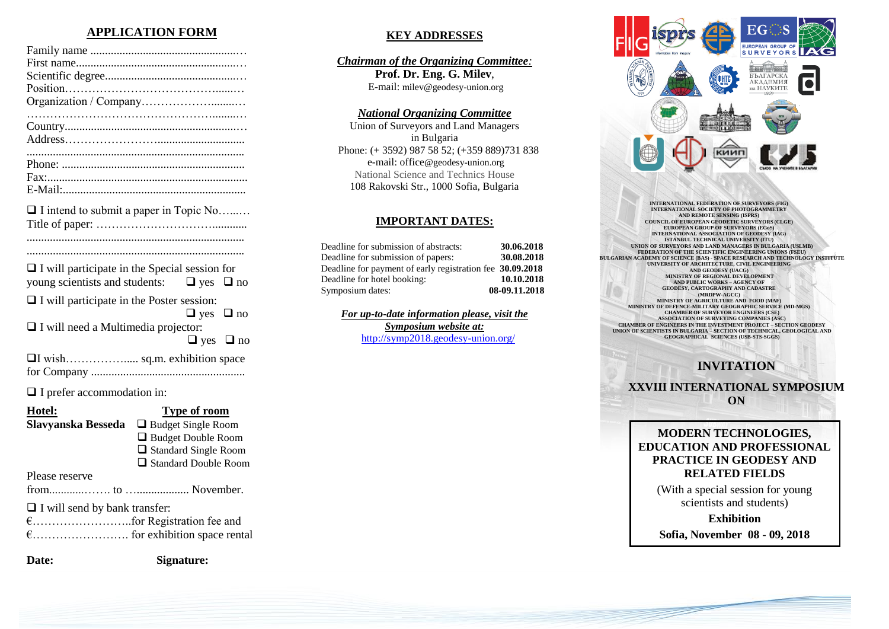## **APPLICATION FORM**

| $\Box$ I intend to submit a paper in Topic No |
|-----------------------------------------------|

| . |  |
|---|--|
|   |  |

...........................................................................

| $\Box$ I will participate in the Special session for |                      |  |
|------------------------------------------------------|----------------------|--|
| young scientists and students: $\Box$ yes $\Box$ no  |                      |  |
| $\Box$ I will participate in the Poster session:     |                      |  |
|                                                      | $\Box$ yes $\Box$ no |  |
| $\Box$ I will need a Multimedia projector:           |                      |  |
|                                                      | $\Box$ yes $\Box$ no |  |
|                                                      |                      |  |
|                                                      |                      |  |

□ I prefer accommodation in:

| Hotel:                               | <b>Type of room</b>         |
|--------------------------------------|-----------------------------|
| Slavyanska Besseda                   | $\Box$ Budget Single Room   |
|                                      | $\Box$ Budget Double Room   |
|                                      | $\Box$ Standard Single Room |
|                                      | $\Box$ Standard Double Room |
| Please reserve                       |                             |
|                                      |                             |
| $\Box$ I will send by bank transfer: |                             |
|                                      |                             |
|                                      |                             |
| Date:                                | <b>Signature:</b>           |

### **KEY ADDRESSES**

*Chairman of the Organizing Committee:* **Prof. Dr. Eng. G. Milev**, E-mail: milev@geodesy-union.org

### *National Organizing Committee*

Union of Surveyors and Land Managers in Bulgaria Phone: (+ 3592) 987 58 52; (+359 889)731 838 e-mail: office@geodesy-union.org National Science and Technics House 108 Rakovski Str., 1000 Sofia, Bulgaria

#### **IMPORTANT DATES:**

| Deadline for submission of abstracts:                     | 30.06.2018    |
|-----------------------------------------------------------|---------------|
| Deadline for submission of papers:                        | 30.08.2018    |
| Deadline for payment of early registration fee 30.09.2018 |               |
| Deadline for hotel booking:                               | 10.10.2018    |
| Symposium dates:                                          | 08-09.11.2018 |

*For up-to-date information please, visit the Symposium website at:* <http://symp2018.geodesy-union.org/>



**INTERNATIONAL FEDERATION OF SURVEYORS (FIG) INTERNATIONAL SOCIETY OF PHOTOGRAMMETRY** AND REMOTE SENSING (ISPECTOR CONNELL OF EUROPEAN GEODETIC SURVEYORS (CLGETTERNATIONAL ASSOCIATION OF GEODESY (IAG)<br>INTERNATIONAL ASSOCIATION OF GEODESY (IAG)<br>INTERNATIONAL ASSOCIATION OF GEODESY (IAG) **UNION OF SURVEYORS AND LAND MANAGERS IN BULGARIA (USLMB) FEDERATION OF THE SCIENTIFIC ENGINEERING UNIONS (FSEU) BULGARIAN ACADEMY OF SCIENCE (BAS) - SPACE RESEARCH AND TECHNOLOGY INSTITUTE UNIVERSITY OF ARCHITECTURE, CIVIL ENGINEERING AND GEODESY (UACG) MINISTRY OF REGIONAL DEVELOPMENT AND PUBLIC WORKS – AGENCY OF GEODESY, CARTOGRAPHY AND CADASTRE (MRDPW-AGCC) MINISTRY OF AGRICULTURE AND FOOD (MAF) MINISTRY OF DEFENCE-MILITARY GEOGRAPHIC SERVICE (MD-MGS) CHAMBER OF SURVEYOR ENGINEERS (CSE) ASSOCIATION OF SURVEYING COMPANIES (ASC) CHAMBER OF ENGINEERS IN THE INVESTMENT PROJECT – SECTION GEODESY UNION OF SCIENTISTS IN BULGARIA – SECTION OF TECHNICAL, GEOLOGICAL AND GEOGRAPHICAL SCIENCES (USB-STS-SGGS)**

# **INVITATION**

**XXVIII INTERNATIONAL SYMPOSIUM ON**

### **MODERN TECHNOLOGIES, EDUCATION AND PROFESSIONAL PRACTICE IN GEODESY AND RELATED FIELDS**

(With a special session for young scientists and students)

**Exhibition**

**Sofia, November 08 - 09, 2018**

**Property** and the company's